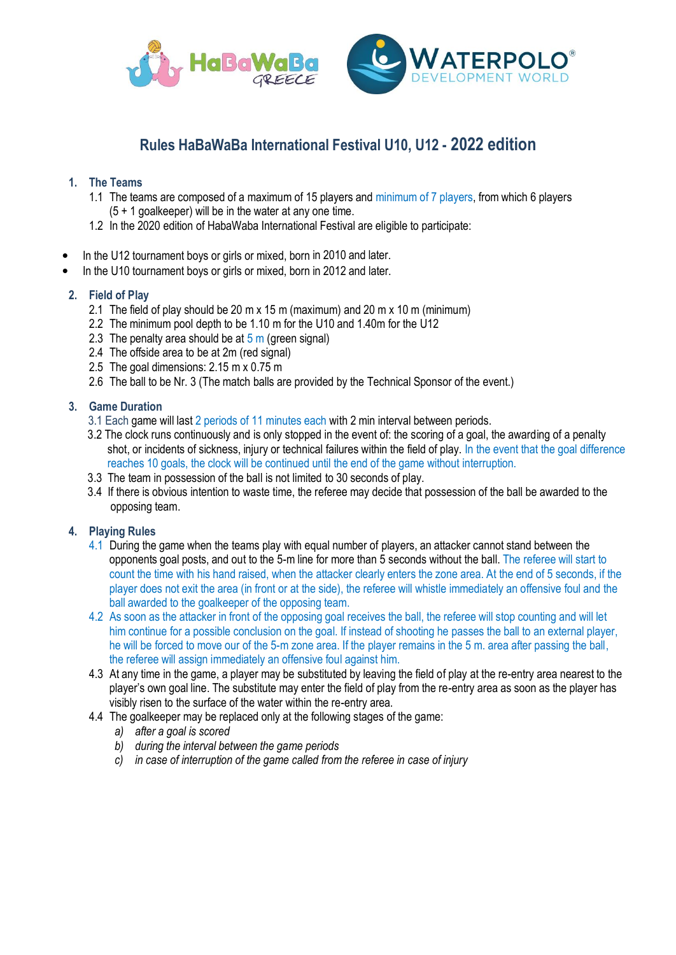

# **Rules HaBaWaBa International Festival U10, U12 - 2022 edition**

# **1. The Teams**

- 1.1 The teams are composed of a maximum of 15 players and minimum of 7 players, from which 6 players (5 + 1 goalkeeper) will be in the water at any one time.
- 1.2 In the 2020 edition of HabaWaba International Festival are eligible to participate:
- In the U12 tournament boys or girls or mixed, born in 2010 and later.
- In the U10 tournament boys or girls or mixed, born in 2012 and later.

# **2. Field of Play**

- 2.1 The field of play should be 20 m x 15 m (maximum) and 20 m x 10 m (minimum)
- 2.2 The minimum pool depth to be 1.10 m for the U10 and 1.40m for the U12
- 2.3 The penalty area should be at  $5 \text{ m}$  (green signal)
- 2.4 The offside area to be at 2m (red signal)
- 2.5 The goal dimensions: 2.15 m x 0.75 m
- 2.6 The ball to be Nr. 3 (The match balls are provided by the Technical Sponsor of the event.)

# **3. Game Duration**

- 3.1 Each game will last 2 periods of 11 minutes each with 2 min interval between periods.
- 3.2 The clock runs continuously and is only stopped in the event of: the scoring of a goal, the awarding of a penalty shot, or incidents of sickness, injury or technical failures within the field of play. In the event that the goal difference reaches 10 goals, the clock will be continued until the end of the game without interruption.
- 3.3 The team in possession of the ball is not limited to 30 seconds of play.
- 3.4 If there is obvious intention to waste time, the referee may decide that possession of the ball be awarded to the opposing team.

# **4. Playing Rules**

- 4.1 During the game when the teams play with equal number of players, an attacker cannot stand between the opponents goal posts, and out to the 5-m line for more than 5 seconds without the ball. The referee will start to count the time with his hand raised, when the attacker clearly enters the zone area. At the end of 5 seconds, if the player does not exit the area (in front or at the side), the referee will whistle immediately an offensive foul and the ball awarded to the goalkeeper of the opposing team.
- 4.2 As soon as the attacker in front of the opposing goal receives the ball, the referee will stop counting and will let him continue for a possible conclusion on the goal. If instead of shooting he passes the ball to an external player, he will be forced to move our of the 5-m zone area. If the player remains in the 5 m. area after passing the ball, the referee will assign immediately an offensive foul against him.
- 4.3 At any time in the game, a player may be substituted by leaving the field of play at the re-entry area nearest to the player's own goal line. The substitute may enter the field of play from the re-entry area as soon as the player has visibly risen to the surface of the water within the re-entry area.
- 4.4 The goalkeeper may be replaced only at the following stages of the game:
	- *a) after a goal is scored*
	- *b) during the interval between the game periods*
	- *c) in case of interruption of the game called from the referee in case of injury*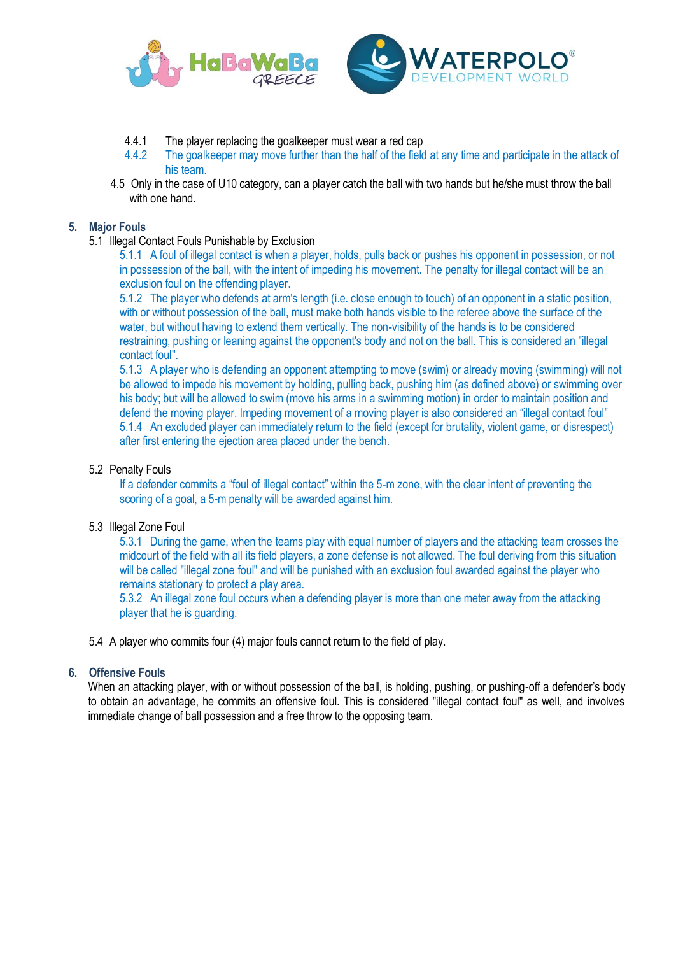



- 4.4.1 The player replacing the goalkeeper must wear a red cap<br>4.4.2 The goalkeeper may move further than the half of the field
- The goalkeeper may move further than the half of the field at any time and participate in the attack of his team.
- 4.5 Only in the case of U10 category, can a player catch the ball with two hands but he/she must throw the ball with one hand.

#### **5. Major Fouls**

5.1 Illegal Contact Fouls Punishable by Exclusion

5.1.1 A foul of illegal contact is when a player, holds, pulls back or pushes his opponent in possession, or not in possession of the ball, with the intent of impeding his movement. The penalty for illegal contact will be an exclusion foul on the offending player.

5.1.2 The player who defends at arm's length (i.e. close enough to touch) of an opponent in a static position, with or without possession of the ball, must make both hands visible to the referee above the surface of the water, but without having to extend them vertically. The non-visibility of the hands is to be considered restraining, pushing or leaning against the opponent's body and not on the ball. This is considered an "illegal contact foul".

5.1.3 A player who is defending an opponent attempting to move (swim) or already moving (swimming) will not be allowed to impede his movement by holding, pulling back, pushing him (as defined above) or swimming over his body; but will be allowed to swim (move his arms in a swimming motion) in order to maintain position and defend the moving player. Impeding movement of a moving player is also considered an "illegal contact foul" 5.1.4 An excluded player can immediately return to the field (except for brutality, violent game, or disrespect) after first entering the ejection area placed under the bench.

#### 5.2 Penalty Fouls

If a defender commits a "foul of illegal contact" within the 5-m zone, with the clear intent of preventing the scoring of a goal, a 5-m penalty will be awarded against him.

## 5.3 Illegal Zone Foul

5.3.1 During the game, when the teams play with equal number of players and the attacking team crosses the midcourt of the field with all its field players, a zone defense is not allowed. The foul deriving from this situation will be called "illegal zone foul" and will be punished with an exclusion foul awarded against the player who remains stationary to protect a play area.

5.3.2 An illegal zone foul occurs when a defending player is more than one meter away from the attacking player that he is guarding.

5.4 A player who commits four (4) major fouls cannot return to the field of play.

#### **6. Offensive Fouls**

When an attacking player, with or without possession of the ball, is holding, pushing, or pushing-off a defender's body to obtain an advantage, he commits an offensive foul. This is considered "illegal contact foul" as well, and involves immediate change of ball possession and a free throw to the opposing team.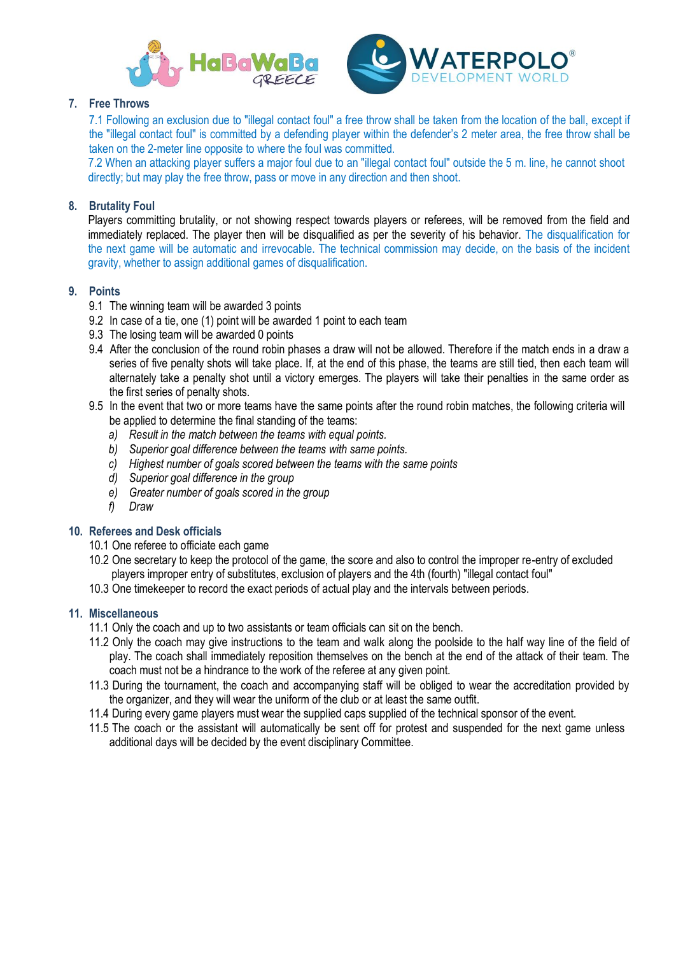



# **7. Free Throws**

7.1 Following an exclusion due to "illegal contact foul" a free throw shall be taken from the location of the ball, except if the "illegal contact foul" is committed by a defending player within the defender's 2 meter area, the free throw shall be taken on the 2-meter line opposite to where the foul was committed.

7.2 When an attacking player suffers a major foul due to an "illegal contact foul" outside the 5 m. line, he cannot shoot directly; but may play the free throw, pass or move in any direction and then shoot.

# **8. Brutality Foul**

Players committing brutality, or not showing respect towards players or referees, will be removed from the field and immediately replaced. The player then will be disqualified as per the severity of his behavior. The disqualification for the next game will be automatic and irrevocable. The technical commission may decide, on the basis of the incident gravity, whether to assign additional games of disqualification.

# **9. Points**

- 9.1 The winning team will be awarded 3 points
- 9.2 In case of a tie, one (1) point will be awarded 1 point to each team
- 9.3 The losing team will be awarded 0 points
- 9.4 After the conclusion of the round robin phases a draw will not be allowed. Therefore if the match ends in a draw a series of five penalty shots will take place. If, at the end of this phase, the teams are still tied, then each team will alternately take a penalty shot until a victory emerges. The players will take their penalties in the same order as the first series of penalty shots.
- 9.5 In the event that two or more teams have the same points after the round robin matches, the following criteria will be applied to determine the final standing of the teams:
	- *a) Result in the match between the teams with equal points.*
	- *b) Superior goal difference between the teams with same points.*
	- *c) Highest number of goals scored between the teams with the same points*
	- *d) Superior goal difference in the group*
	- *e) Greater number of goals scored in the group*
	- *f) Draw*

# **10. Referees and Desk officials**

- 10.1 One referee to officiate each game
- 10.2 One secretary to keep the protocol of the game, the score and also to control the improper re-entry of excluded players improper entry of substitutes, exclusion of players and the 4th (fourth) "illegal contact foul"
- 10.3 One timekeeper to record the exact periods of actual play and the intervals between periods.

# **11. Miscellaneous**

- 11.1 Only the coach and up to two assistants or team officials can sit on the bench.
- 11.2 Only the coach may give instructions to the team and walk along the poolside to the half way line of the field of play. The coach shall immediately reposition themselves on the bench at the end of the attack of their team. The coach must not be a hindrance to the work of the referee at any given point.
- 11.3 During the tournament, the coach and accompanying staff will be obliged to wear the accreditation provided by the organizer, and they will wear the uniform of the club or at least the same outfit.
- 11.4 During every game players must wear the supplied caps supplied of the technical sponsor of the event.
- 11.5 The coach or the assistant will automatically be sent off for protest and suspended for the next game unless additional days will be decided by the event disciplinary Committee.